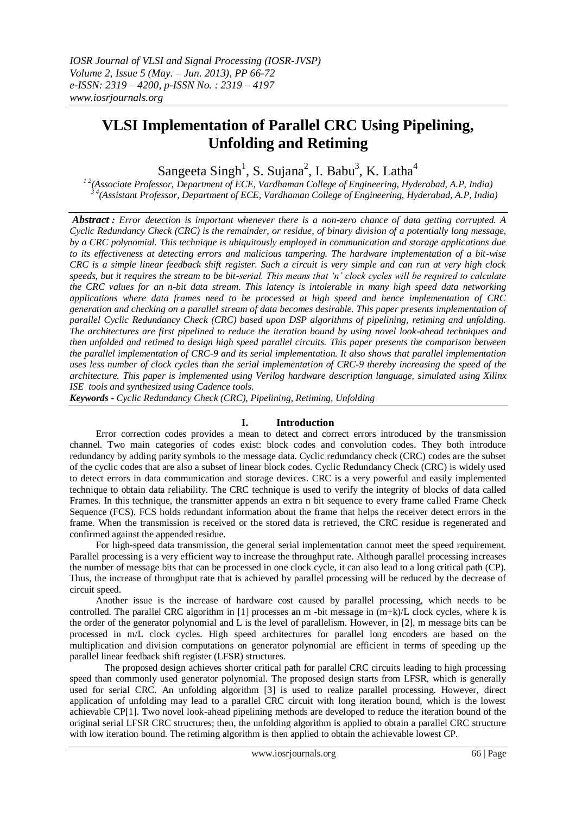# **VLSI Implementation of Parallel CRC Using Pipelining, Unfolding and Retiming**

Sangeeta Singh<sup>1</sup>, S. Sujana<sup>2</sup>, I. Babu<sup>3</sup>, K. Latha<sup>4</sup>

*1 2(Associate Professor, Department of ECE, Vardhaman College of Engineering, Hyderabad, A.P, India) 3 4(Assistant Professor, Department of ECE, Vardhaman College of Engineering, Hyderabad, A.P, India)*

*Abstract : Error detection is important whenever there is a non-zero chance of data getting corrupted. A Cyclic Redundancy Check (CRC) is the remainder, or residue, of binary division of a potentially long message, by a CRC polynomial. This technique is ubiquitously employed in communication and storage applications due to its effectiveness at detecting errors and malicious tampering. The hardware implementation of a bit-wise CRC is a simple linear feedback shift register. Such a circuit is very simple and can run at very high clock speeds, but it requires the stream to be bit-serial. This means that 'n' clock cycles will be required to calculate the CRC values for an n-bit data stream. This latency is intolerable in many high speed data networking applications where data frames need to be processed at high speed and hence implementation of CRC generation and checking on a parallel stream of data becomes desirable. This paper presents implementation of parallel Cyclic Redundancy Check (CRC) based upon DSP algorithms of pipelining, retiming and unfolding. The architectures are first pipelined to reduce the iteration bound by using novel look-ahead techniques and then unfolded and retimed to design high speed parallel circuits. This paper presents the comparison between the parallel implementation of CRC-9 and its serial implementation. It also shows that parallel implementation*  uses less number of clock cycles than the serial implementation of CRC-9 thereby increasing the speed of the *architecture. This paper is implemented using Verilog hardware description language, simulated using Xilinx ISE tools and synthesized using Cadence tools.*

*Keywords - Cyclic Redundancy Check (CRC), Pipelining, Retiming, Unfolding*

# **I. Introduction**

Error correction codes provides a mean to detect and correct errors introduced by the transmission channel. Two main categories of codes exist: block codes and convolution codes. They both introduce redundancy by adding parity symbols to the message data. Cyclic redundancy check (CRC) codes are the subset of the cyclic codes that are also a subset of linear block codes. Cyclic Redundancy Check (CRC) is widely used to detect errors in data communication and storage devices. CRC is a very powerful and easily implemented technique to obtain data reliability. The CRC technique is used to verify the integrity of blocks of data called Frames. In this technique, the transmitter appends an extra n bit sequence to every frame called Frame Check Sequence (FCS). FCS holds redundant information about the frame that helps the receiver detect errors in the frame. When the transmission is received or the stored data is retrieved, the CRC residue is regenerated and confirmed against the appended residue.

For high-speed data transmission, the general serial implementation cannot meet the speed requirement. Parallel processing is a very efficient way to increase the throughput rate. Although parallel processing increases the number of message bits that can be processed in one clock cycle, it can also lead to a long critical path (CP). Thus, the increase of throughput rate that is achieved by parallel processing will be reduced by the decrease of circuit speed.

Another issue is the increase of hardware cost caused by parallel processing, which needs to be controlled. The parallel CRC algorithm in [1] processes an m -bit message in (m+k)/L clock cycles, where k is the order of the generator polynomial and L is the level of parallelism. However, in [2], m message bits can be processed in m/L clock cycles. High speed architectures for parallel long encoders are based on the multiplication and division computations on generator polynomial are efficient in terms of speeding up the parallel linear feedback shift register (LFSR) structures.

The proposed design achieves shorter critical path for parallel CRC circuits leading to high processing speed than commonly used generator polynomial. The proposed design starts from LFSR, which is generally used for serial CRC. An unfolding algorithm [3] is used to realize parallel processing. However, direct application of unfolding may lead to a parallel CRC circuit with long iteration bound, which is the lowest achievable CP[1]. Two novel look-ahead pipelining methods are developed to reduce the iteration bound of the original serial LFSR CRC structures; then, the unfolding algorithm is applied to obtain a parallel CRC structure with low iteration bound. The retiming algorithm is then applied to obtain the achievable lowest CP.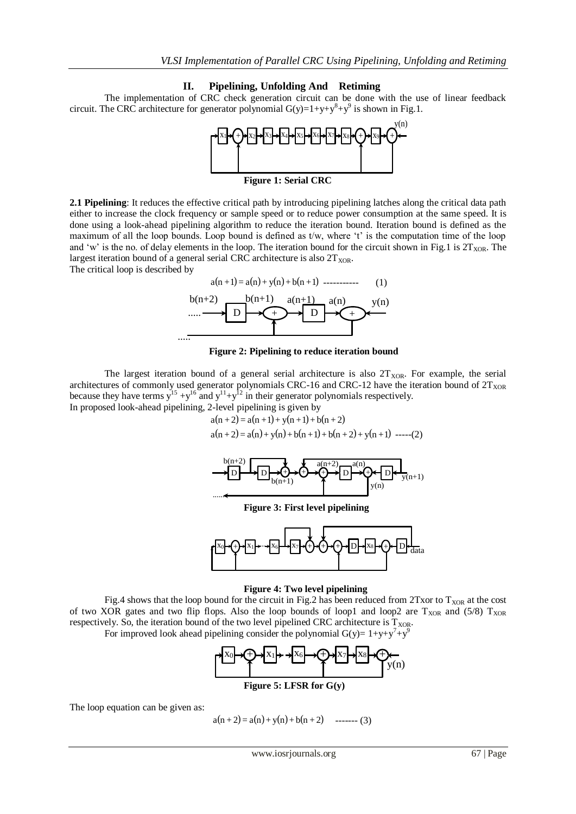## **II. Pipelining, Unfolding And Retiming**

The implementation of CRC check generation circuit can be done with the use of linear feedback circuit. The CRC architecture for generator polynomial  $G(y)=1+y+y^8+y^9$  is shown in Fig.1.



**Figure 1: Serial CRC**

**2.1 Pipelining**: It reduces the effective critical path by introducing pipelining latches along the critical data path either to increase the clock frequency or sample speed or to reduce power consumption at the same speed. It is done using a look-ahead pipelining algorithm to reduce the iteration bound. Iteration bound is defined as the maximum of all the loop bounds. Loop bound is defined as t/w, where  $'t'$  is the computation time of the loop and 'w' is the no. of delay elements in the loop. The iteration bound for the circuit shown in Fig.1 is  $2T_{XOR}$ . The largest iteration bound of a general serial CRC architecture is also  $2T_{XOR}$ . The critical loop is described by



#### **Figure 2: Pipelining to reduce iteration bound**

The largest iteration bound of a general serial architecture is also  $2T_{XOR}$ . For example, the serial architectures of commonly used generator polynomials CRC-16 and CRC-12 have the iteration bound of  $2T_{XOR}$ because they have terms  $y^{15} + y^{16}$  and  $y^{11} + y^{12}$  in their generator polynomials respectively.

In proposed look-ahead pipelining, 2-level pipelining is given by

 $a(n+2) = a(n+1) + v(n+1) + b(n+2)$  $a(n+2) = a(n) + y(n) + b(n+1) + b(n+2) + y(n+1)$  -----(2)



**Figure 3: First level pipelining**



#### **Figure 4: Two level pipelining**

Fig.4 shows that the loop bound for the circuit in Fig.2 has been reduced from 2Txor to  $T_{XOR}$  at the cost of two XOR gates and two flip flops. Also the loop bounds of loop1 and loop2 are  $T_{XOR}$  and (5/8)  $T_{XOR}$ respectively. So, the iteration bound of the two level pipelined CRC architecture is  $T_{XOR}$ .

For improved look ahead pipelining consider the polynomial  $G(y)=1+y+y^7+y^9$ 



# **Figure 5: LFSR for G(y)**

The loop equation can be given as:

$$
a(n+2) = a(n) + y(n) + b(n+2) \quad \text{---(3)}
$$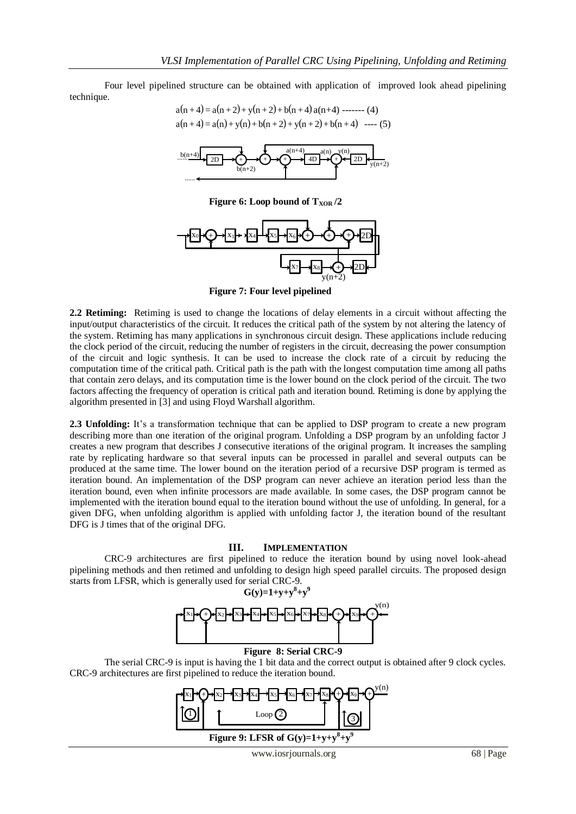Four level pipelined structure can be obtained with application of improved look ahead pipelining technique.



**Figure 6:** Loop bound of  $T_{XOR}$  /2

......



**Figure 7: Four level pipelined**

**2.2 Retiming:** Retiming is used to change the locations of delay elements in a circuit without affecting the input/output characteristics of the circuit. It reduces the critical path of the system by not altering the latency of the system. Retiming has many applications in synchronous circuit design. These applications include reducing the clock period of the circuit, reducing the number of registers in the circuit, decreasing the power consumption of the circuit and logic synthesis. It can be used to increase the clock rate of a circuit by reducing the computation time of the critical path. Critical path is the path with the longest computation time among all paths that contain zero delays, and its computation time is the lower bound on the clock period of the circuit. The two factors affecting the frequency of operation is critical path and iteration bound. Retiming is done by applying the algorithm presented in [3] and using Floyd Warshall algorithm.

**2.3 Unfolding:** It's a transformation technique that can be applied to DSP program to create a new program describing more than one iteration of the original program. Unfolding a DSP program by an unfolding factor J creates a new program that describes J consecutive iterations of the original program. It increases the sampling rate by replicating hardware so that several inputs can be processed in parallel and several outputs can be produced at the same time. The lower bound on the iteration period of a recursive DSP program is termed as iteration bound. An implementation of the DSP program can never achieve an iteration period less than the iteration bound, even when infinite processors are made available. In some cases, the DSP program cannot be implemented with the iteration bound equal to the iteration bound without the use of unfolding. In general, for a given DFG, when unfolding algorithm is applied with unfolding factor J, the iteration bound of the resultant DFG is J times that of the original DFG.

## **III. IMPLEMENTATION**

CRC-9 architectures are first pipelined to reduce the iteration bound by using novel look-ahead pipelining methods and then retimed and unfolding to design high speed parallel circuits. The proposed design starts from LFSR, which is generally used for serial CRC-9.



# **Figure 8: Serial CRC-9**

The serial CRC-9 is input is having the 1 bit data and the correct output is obtained after 9 clock cycles. CRC-9 architectures are first pipelined to reduce the iteration bound.

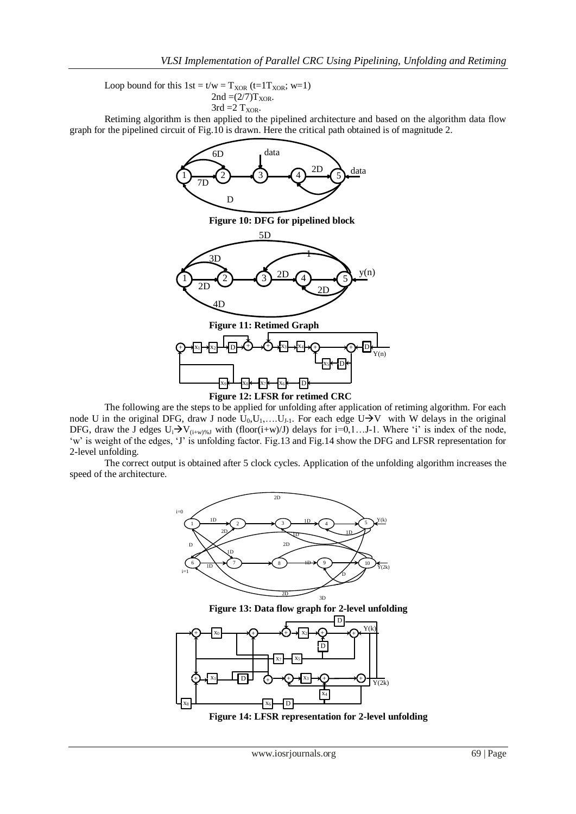Loop bound for this  $1st = t/w = T_{XOR} (t=1T_{XOR}; w=1)$  $2nd = (2/7)T_{XOR}$ .  $3rd = 2$  T<sub>XOR</sub>.

Retiming algorithm is then applied to the pipelined architecture and based on the algorithm data flow graph for the pipelined circuit of Fig.10 is drawn. Here the critical path obtained is of magnitude 2.



The following are the steps to be applied for unfolding after application of retiming algorithm. For each node U in the original DFG, draw J node  $U_0, U_1, \ldots, U_{J-1}$ . For each edge U $\rightarrow$ V with W delays in the original DFG, draw the J edges  $U_i\rightarrow V_{(i+w)\%J}$  with (floor( $i+w$ )/J) delays for  $i=0,1...J-1$ . Where 'i' is index of the node, 'w' is weight of the edges, 'J' is unfolding factor. Fig.13 and Fig.14 show the DFG and LFSR representation for 2-level unfolding.

The correct output is obtained after 5 clock cycles. Application of the unfolding algorithm increases the speed of the architecture.



**Figure 13: Data flow graph for 2-level unfolding**



**Figure 14: LFSR representation for 2-level unfolding**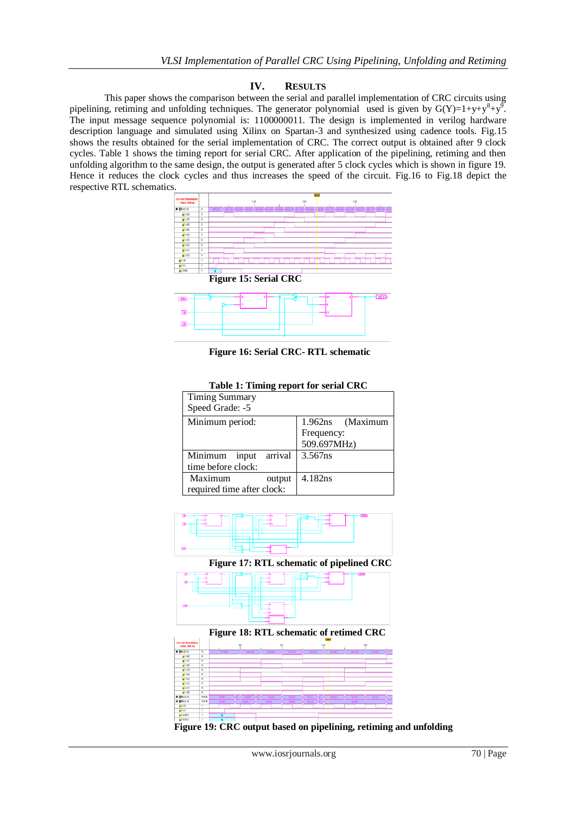# **IV. RESULTS**

This paper shows the comparison between the serial and parallel implementation of CRC circuits using pipelining, retiming and unfolding techniques. The generator polynomial used is given by  $G(Y)=1+y+y^8+y^9$ . The input message sequence polynomial is: 1100000011. The design is implemented in verilog hardware description language and simulated using Xilinx on Spartan-3 and synthesized using cadence tools. Fig.15 shows the results obtained for the serial implementation of CRC. The correct output is obtained after 9 clock cycles. Table 1 shows the timing report for serial CRC. After application of the pipelining, retiming and then unfolding algorithm to the same design, the output is generated after 5 clock cycles which is shown in figure 19. Hence it reduces the clock cycles and thus increases the speed of the circuit. Fig.16 to Fig.18 depict the respective RTL schematics.



**Figure 16: Serial CRC- RTL schematic**

| Table 1: Timing report for serial CRC |                  |  |
|---------------------------------------|------------------|--|
| <b>Timing Summary</b>                 |                  |  |
| Speed Grade: -5                       |                  |  |
| Minimum period:                       | 1.962ns (Maximum |  |
|                                       | Frequency:       |  |
|                                       | 509.697MHz)      |  |
| Minimum input arrival                 | 3.567ns          |  |
| time before clock:                    |                  |  |
| Maximum<br>output                     | 4.182ns          |  |
| required time after clock:            |                  |  |



**Figure 17: RTL schematic of pipelined CRC**



**Figure 19: CRC output based on pipelining, retiming and unfolding**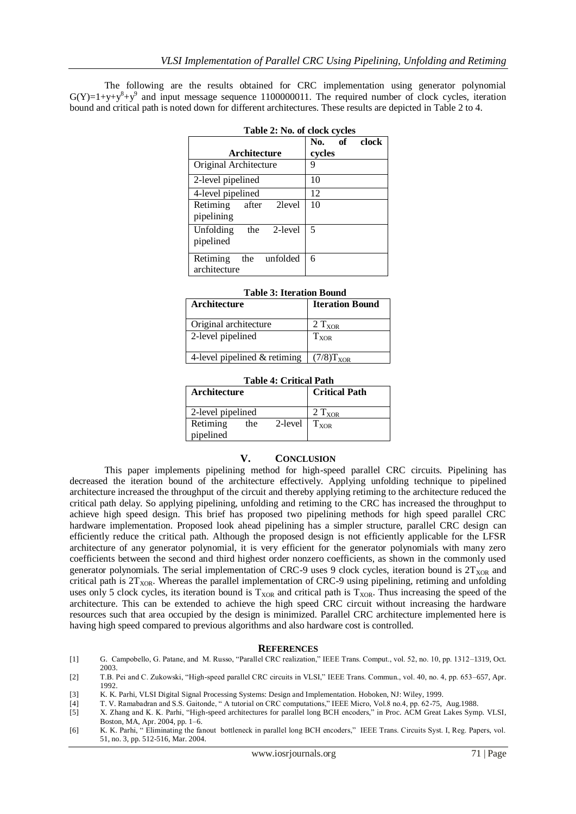The following are the results obtained for CRC implementation using generator polynomial  $G(Y)=1+y+y^8+y^9$  and input message sequence 1100000011. The required number of clock cycles, iteration bound and critical path is noted down for different architectures. These results are depicted in Table 2 to 4.

| <b>LADIC 4. 190. OF CRUA CYCICS</b>        |                        |  |  |  |
|--------------------------------------------|------------------------|--|--|--|
| Architecture                               | No. of clock<br>cycles |  |  |  |
| Original Architecture                      | 9                      |  |  |  |
| 2-level pipelined                          | 10                     |  |  |  |
| 4-level pipelined                          | 12                     |  |  |  |
| Retiming<br>2 level<br>after<br>pipelining | 10                     |  |  |  |
| Unfolding<br>the<br>2-level<br>pipelined   | 5                      |  |  |  |
| the unfolded<br>Retiming<br>architecture   | 6                      |  |  |  |

#### **Table 3: Iteration Bound**

| Architecture                   | <b>Iteration Bound</b> |
|--------------------------------|------------------------|
| Original architecture          | $2 T_{XOR}$            |
| 2-level pipelined              | $T_{XOR}$              |
| 4-level pipelined $&$ retiming | $(7/8)T_{XOR}$         |

# **Table 4: Critical Path**

| <b>Architecture</b>   |     |                   | <b>Critical Path</b> |
|-----------------------|-----|-------------------|----------------------|
| 2-level pipelined     |     |                   | $2 T_{XOR}$          |
| Retiming<br>pipelined | the | 2-level $T_{XOR}$ |                      |

### **V. CONCLUSION**

This paper implements pipelining method for high-speed parallel CRC circuits. Pipelining has decreased the iteration bound of the architecture effectively. Applying unfolding technique to pipelined architecture increased the throughput of the circuit and thereby applying retiming to the architecture reduced the critical path delay. So applying pipelining, unfolding and retiming to the CRC has increased the throughput to achieve high speed design. This brief has proposed two pipelining methods for high speed parallel CRC hardware implementation. Proposed look ahead pipelining has a simpler structure, parallel CRC design can efficiently reduce the critical path. Although the proposed design is not efficiently applicable for the LFSR architecture of any generator polynomial, it is very efficient for the generator polynomials with many zero coefficients between the second and third highest order nonzero coefficients, as shown in the commonly used generator polynomials. The serial implementation of CRC-9 uses 9 clock cycles, iteration bound is  $2T_{XOR}$  and critical path is  $2T_{XOR}$ . Whereas the parallel implementation of CRC-9 using pipelining, retiming and unfolding uses only 5 clock cycles, its iteration bound is  $T_{XOR}$  and critical path is  $T_{XOR}$ . Thus increasing the speed of the architecture. This can be extended to achieve the high speed CRC circuit without increasing the hardware resources such that area occupied by the design is minimized. Parallel CRC architecture implemented here is having high speed compared to previous algorithms and also hardware cost is controlled.

### **REFERENCES**

- [1] G. Campobello, G. Patane, and M. Russo, "Parallel CRC realization," IEEE Trans. Comput., vol. 52, no. 10, pp. 1312–1319, Oct. 2003.
- [2] T.B. Pei and C. Zukowski, "High-speed parallel CRC circuits in VLSI," IEEE Trans. Commun., vol. 40, no. 4, pp. 653–657, Apr. 1992.
- [3] K. K. Parhi*,* VLSI Digital Signal Processing Systems: Design and Implementation. Hoboken, NJ: Wiley, 1999.
- [4] T. V. Ramabadran and S.S. Gaitonde, " A tutorial on CRC computations," IEEE Micro, Vol.8 no.4, pp. 62-75, Aug.1988.
- [5] X. Zhang and K. K. Parhi, "High-speed architectures for parallel long BCH encoders," in Proc. ACM Great Lakes Symp. VLSI, Boston, MA, Apr. 2004, pp. 1–6.
- [6] K. K. Parhi, " Eliminating the fanout bottleneck in parallel long BCH encoders," IEEE Trans. Circuits Syst. I, Reg. Papers, vol. 51, no. 3, pp. 512-516, Mar. 2004.